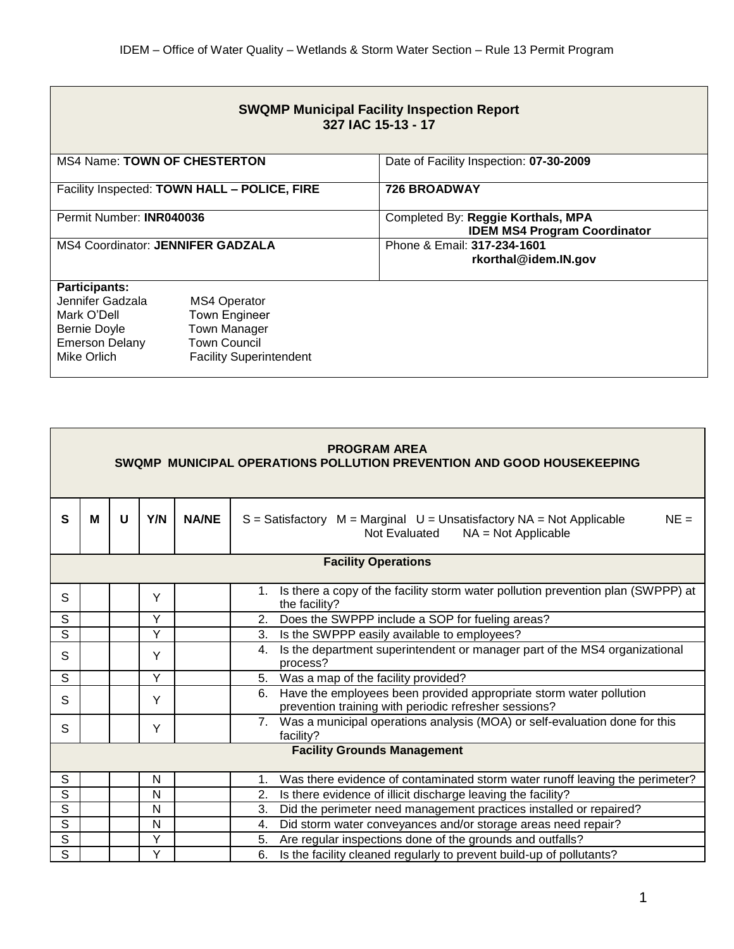| <b>SWQMP Municipal Facility Inspection Report</b><br>327 IAC 15-13 - 17 |                                              |                                                                           |  |  |  |  |
|-------------------------------------------------------------------------|----------------------------------------------|---------------------------------------------------------------------------|--|--|--|--|
| <b>MS4 Name: TOWN OF CHESTERTON</b>                                     |                                              | Date of Facility Inspection: 07-30-2009                                   |  |  |  |  |
|                                                                         | Facility Inspected: TOWN HALL - POLICE, FIRE | <b>726 BROADWAY</b>                                                       |  |  |  |  |
| Permit Number: INR040036                                                |                                              | Completed By: Reggie Korthals, MPA<br><b>IDEM MS4 Program Coordinator</b> |  |  |  |  |
| <b>MS4 Coordinator: JENNIFER GADZALA</b>                                |                                              | Phone & Email: 317-234-1601<br>rkorthal@idem.IN.gov                       |  |  |  |  |
| <b>Participants:</b>                                                    |                                              |                                                                           |  |  |  |  |
| Jennifer Gadzala<br>Mark O'Dell                                         | <b>MS4 Operator</b><br><b>Town Engineer</b>  |                                                                           |  |  |  |  |
| <b>Bernie Doyle</b>                                                     | <b>Town Manager</b>                          |                                                                           |  |  |  |  |
| <b>Emerson Delany</b>                                                   | <b>Town Council</b>                          |                                                                           |  |  |  |  |
| Mike Orlich                                                             | <b>Facility Superintendent</b>               |                                                                           |  |  |  |  |

| <b>PROGRAM AREA</b><br>SWQMP MUNICIPAL OPERATIONS POLLUTION PREVENTION AND GOOD HOUSEKEEPING |   |   |     |              |                                                                                                                                   |
|----------------------------------------------------------------------------------------------|---|---|-----|--------------|-----------------------------------------------------------------------------------------------------------------------------------|
| $\mathbf{s}$                                                                                 | M | U | Y/N | <b>NA/NE</b> | $NE =$<br>$S = S$ atisfactory $M = Marginal$ $U = Unsatisfactory NA = Not Applied$<br>Not Evaluated<br>$NA = Not Applicable$      |
| <b>Facility Operations</b>                                                                   |   |   |     |              |                                                                                                                                   |
| S                                                                                            |   |   | Y   |              | Is there a copy of the facility storm water pollution prevention plan (SWPPP) at<br>$1_{\cdot}$<br>the facility?                  |
| $\overline{s}$                                                                               |   |   | Y   |              | Does the SWPPP include a SOP for fueling areas?<br>2.                                                                             |
| $\overline{s}$                                                                               |   |   | Y   |              | Is the SWPPP easily available to employees?<br>3.                                                                                 |
| S                                                                                            |   |   | Y   |              | Is the department superintendent or manager part of the MS4 organizational<br>4.<br>process?                                      |
| S                                                                                            |   |   | Y   |              | Was a map of the facility provided?<br>5.                                                                                         |
| S                                                                                            |   |   | Y   |              | Have the employees been provided appropriate storm water pollution<br>6.<br>prevention training with periodic refresher sessions? |
| S                                                                                            |   |   | Y   |              | 7. Was a municipal operations analysis (MOA) or self-evaluation done for this<br>facility?                                        |
| <b>Facility Grounds Management</b>                                                           |   |   |     |              |                                                                                                                                   |
| S                                                                                            |   |   | N   |              | Was there evidence of contaminated storm water runoff leaving the perimeter?<br>1.                                                |
| $\overline{\mathsf{s}}$                                                                      |   |   | N   |              | Is there evidence of illicit discharge leaving the facility?<br>2.                                                                |
| $\mathsf S$                                                                                  |   |   | N   |              | 3.<br>Did the perimeter need management practices installed or repaired?                                                          |
| S                                                                                            |   |   | N   |              | Did storm water conveyances and/or storage areas need repair?<br>4.                                                               |
| $\overline{s}$                                                                               |   |   | Ÿ   |              | Are regular inspections done of the grounds and outfalls?<br>5.                                                                   |
| $\overline{s}$                                                                               |   |   | Y   |              | Is the facility cleaned regularly to prevent build-up of pollutants?<br>6.                                                        |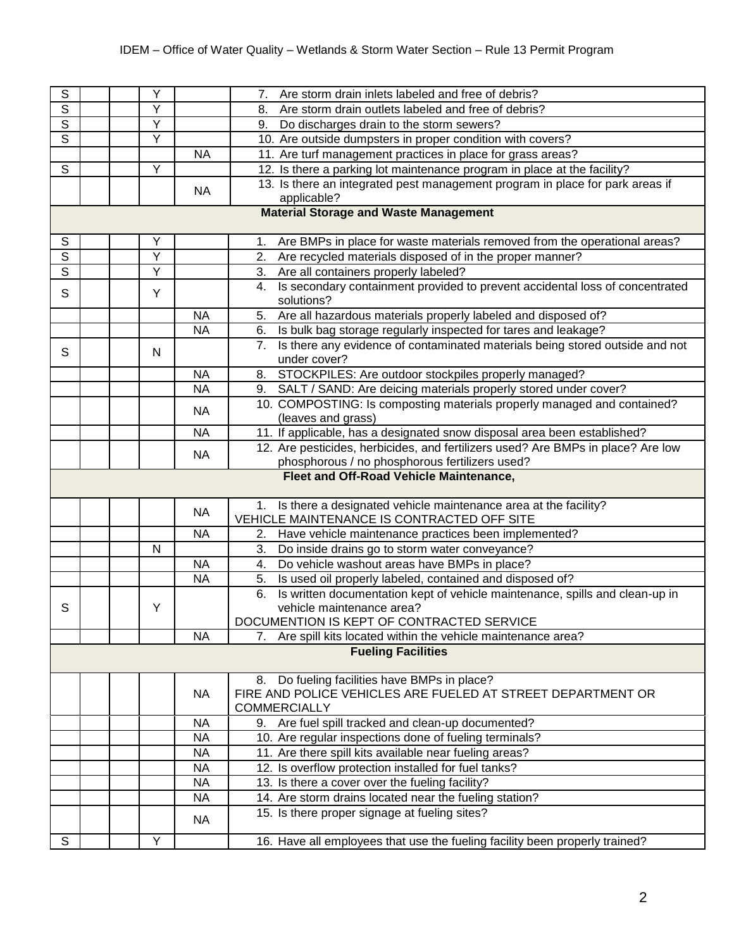| $\overline{s}$          |  | Υ |           | Are storm drain inlets labeled and free of debris?<br>7.                                                    |
|-------------------------|--|---|-----------|-------------------------------------------------------------------------------------------------------------|
| $\overline{s}$          |  | Υ |           | Are storm drain outlets labeled and free of debris?<br>8.                                                   |
| $\overline{s}$          |  | Υ |           | Do discharges drain to the storm sewers?<br>9.                                                              |
| $\overline{\mathsf{s}}$ |  | Υ |           | 10. Are outside dumpsters in proper condition with covers?                                                  |
|                         |  |   | <b>NA</b> | 11. Are turf management practices in place for grass areas?                                                 |
| $\overline{s}$          |  | Y |           | 12. Is there a parking lot maintenance program in place at the facility?                                    |
|                         |  |   | <b>NA</b> | 13. Is there an integrated pest management program in place for park areas if                               |
|                         |  |   |           | applicable?                                                                                                 |
|                         |  |   |           | <b>Material Storage and Waste Management</b>                                                                |
| ${\mathbb S}$           |  | Υ |           | Are BMPs in place for waste materials removed from the operational areas?<br>1.                             |
| $\overline{s}$          |  | Ÿ |           | Are recycled materials disposed of in the proper manner?<br>2.                                              |
| $\overline{s}$          |  | Υ |           | Are all containers properly labeled?<br>3.                                                                  |
|                         |  |   |           | Is secondary containment provided to prevent accidental loss of concentrated<br>4.                          |
| S                       |  | Y |           | solutions?                                                                                                  |
|                         |  |   | <b>NA</b> | Are all hazardous materials properly labeled and disposed of?<br>5.                                         |
|                         |  |   | <b>NA</b> | Is bulk bag storage regularly inspected for tares and leakage?<br>6.                                        |
| S                       |  | N |           | Is there any evidence of contaminated materials being stored outside and not<br>7.                          |
|                         |  |   |           | under cover?                                                                                                |
|                         |  |   | <b>NA</b> | STOCKPILES: Are outdoor stockpiles properly managed?<br>8.                                                  |
|                         |  |   | <b>NA</b> | SALT / SAND: Are deicing materials properly stored under cover?<br>9.                                       |
|                         |  |   | <b>NA</b> | 10. COMPOSTING: Is composting materials properly managed and contained?                                     |
|                         |  |   |           | (leaves and grass)                                                                                          |
|                         |  |   | <b>NA</b> | 11. If applicable, has a designated snow disposal area been established?                                    |
|                         |  |   | <b>NA</b> | 12. Are pesticides, herbicides, and fertilizers used? Are BMPs in place? Are low                            |
|                         |  |   |           | phosphorous / no phosphorous fertilizers used?<br>Fleet and Off-Road Vehicle Maintenance,                   |
|                         |  |   |           |                                                                                                             |
|                         |  |   | <b>NA</b> | 1. Is there a designated vehicle maintenance area at the facility?                                          |
|                         |  |   |           | VEHICLE MAINTENANCE IS CONTRACTED OFF SITE                                                                  |
|                         |  |   | <b>NA</b> | Have vehicle maintenance practices been implemented?<br>2.                                                  |
|                         |  | N |           | Do inside drains go to storm water conveyance?<br>3.                                                        |
|                         |  |   | <b>NA</b> | Do vehicle washout areas have BMPs in place?<br>4.                                                          |
|                         |  |   | <b>NA</b> | Is used oil properly labeled, contained and disposed of?<br>5.                                              |
|                         |  |   |           | Is written documentation kept of vehicle maintenance, spills and clean-up in<br>6.                          |
| S                       |  | Y |           | vehicle maintenance area?                                                                                   |
|                         |  |   | <b>NA</b> | DOCUMENTION IS KEPT OF CONTRACTED SERVICE<br>7. Are spill kits located within the vehicle maintenance area? |
|                         |  |   |           | <b>Fueling Facilities</b>                                                                                   |
|                         |  |   |           |                                                                                                             |
|                         |  |   |           | Do fueling facilities have BMPs in place?<br>8.                                                             |
|                         |  |   | <b>NA</b> | FIRE AND POLICE VEHICLES ARE FUELED AT STREET DEPARTMENT OR                                                 |
|                         |  |   |           | <b>COMMERCIALLY</b>                                                                                         |
|                         |  |   | <b>NA</b> | 9. Are fuel spill tracked and clean-up documented?                                                          |
|                         |  |   | <b>NA</b> | 10. Are regular inspections done of fueling terminals?                                                      |
|                         |  |   | <b>NA</b> | 11. Are there spill kits available near fueling areas?                                                      |
|                         |  |   | <b>NA</b> | 12. Is overflow protection installed for fuel tanks?                                                        |
|                         |  |   |           |                                                                                                             |
|                         |  |   | <b>NA</b> | 13. Is there a cover over the fueling facility?                                                             |
|                         |  |   | <b>NA</b> | 14. Are storm drains located near the fueling station?                                                      |
|                         |  |   | <b>NA</b> | 15. Is there proper signage at fueling sites?                                                               |